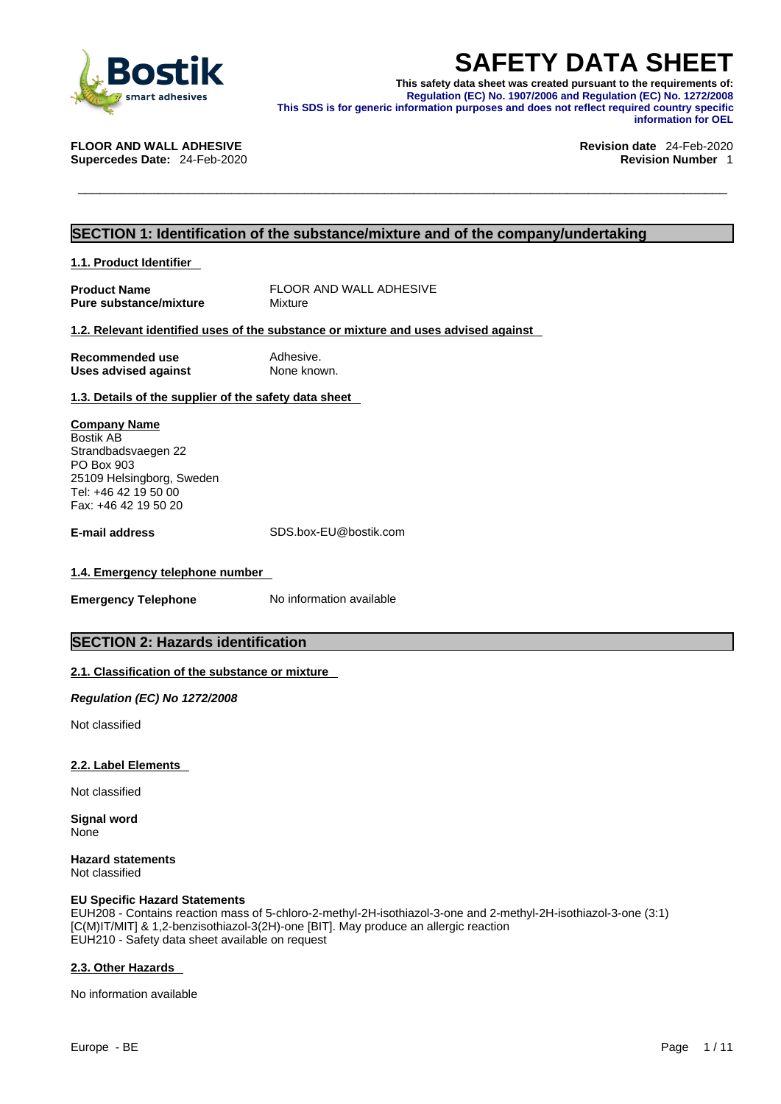

**SAFETY DATA SHEET**<br>
This safety data sheet was created pursuant to the requirements of:<br>
Regulation (EC) No. 1907/2006 and Regulation (EC) No. 1272/2008<br>
LOOR AND WALL ADHESIVE<br>
LOOR AND WALL ADHESIVE<br>
LOOR AND WALL ADHES **This safety data sheet was created pursuant to the requirements of: Regulation (EC) No. 1907/2006 and Regulation (EC) No. 1272/2008 This SDS is for generic information purposes and does not reflect required country specific information for OEL** 

**FLOOR AND WALL ADHESIVE Revision date** 24-Feb-2020

**Supercedes Date:** 24-Feb-2020 **Revision Number** 1

# **SECTION 1: Identification of the substance/mixture and of the company/undertaking**

**1.1. Product Identifier** 

**Product Name** FLOOR AND WALL ADHESIVE<br> **Pure substance/mixture** Mixture Mixture **Pure substance/mixture** 

### **1.2. Relevant identified uses of the substance or mixture and uses advised against**

| Recommended use             | Adhesive.   |
|-----------------------------|-------------|
| <b>Uses advised against</b> | None known. |

**1.3. Details of the supplier of the safety data sheet**

**Company Name** Bostik AB Strandbadsvaegen 22 PO Box 903 25109 Helsingborg, Sweden Tel: +46 42 19 50 00 Fax: +46 42 19 50 20

**E-mail address** SDS.box-EU@bostik.com

# **1.4. Emergency telephone number**

**Emergency Telephone** No information available

# **SECTION 2: Hazards identification**

# **2.1. Classification of the substance or mixture**

*Regulation (EC) No 1272/2008* 

Not classified

# **2.2. Label Elements**

Not classified

**Signal word** None

**Hazard statements** Not classified

### **EU Specific Hazard Statements**

EUH208 - Contains reaction mass of 5-chloro-2-methyl-2H-isothiazol-3-one and 2-methyl-2H-isothiazol-3-one (3:1) [C(M)IT/MIT] & 1,2-benzisothiazol-3(2H)-one [BIT]. May produce an allergic reaction EUH210 - Safety data sheet available on request

### **2.3. Other Hazards**

No information available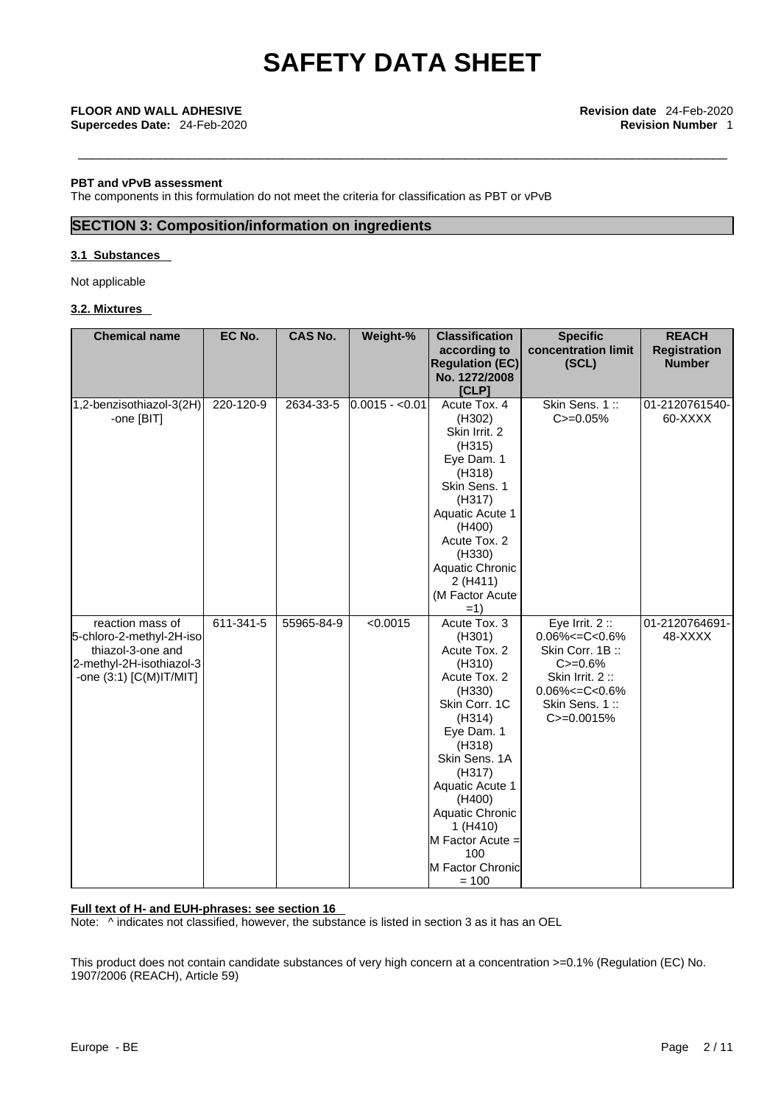## **PBT and vPvB assessment**

The components in this formulation do not meet the criteria for classification as PBT or vPvB

# **SECTION 3: Composition/information on ingredients**

### **3.1 Substances**

Not applicable

# **3.2. Mixtures**

| <b>Chemical name</b>     | EC No.    | <b>CAS No.</b> | Weight-%        | <b>Classification</b><br>according to | <b>Specific</b><br>concentration limit | <b>REACH</b><br><b>Registration</b> |
|--------------------------|-----------|----------------|-----------------|---------------------------------------|----------------------------------------|-------------------------------------|
|                          |           |                |                 | <b>Regulation (EC)</b>                | (SCL)                                  | <b>Number</b>                       |
|                          |           |                |                 | No. 1272/2008                         |                                        |                                     |
|                          |           |                |                 | [CLP]                                 |                                        |                                     |
| 1,2-benzisothiazol-3(2H) | 220-120-9 | 2634-33-5      | $0.0015 - 0.01$ | Acute Tox, 4                          | Skin Sens. 1::                         | 01-2120761540-                      |
| -one [BIT]               |           |                |                 | (H302)<br>Skin Irrit. 2               | $C = 0.05%$                            | 60-XXXX                             |
|                          |           |                |                 | (H315)                                |                                        |                                     |
|                          |           |                |                 | Eye Dam. 1                            |                                        |                                     |
|                          |           |                |                 | (H318)                                |                                        |                                     |
|                          |           |                |                 | Skin Sens. 1                          |                                        |                                     |
|                          |           |                |                 | (H317)                                |                                        |                                     |
|                          |           |                |                 | Aquatic Acute 1                       |                                        |                                     |
|                          |           |                |                 | (H400)                                |                                        |                                     |
|                          |           |                |                 | Acute Tox. 2                          |                                        |                                     |
|                          |           |                |                 | (H330)                                |                                        |                                     |
|                          |           |                |                 | Aquatic Chronic                       |                                        |                                     |
|                          |           |                |                 | 2 (H411)                              |                                        |                                     |
|                          |           |                |                 | (M Factor Acute                       |                                        |                                     |
| reaction mass of         | 611-341-5 | 55965-84-9     | < 0.0015        | $=1)$<br>Acute Tox. 3                 | Eye Irrit. $2::$                       | 01-2120764691-                      |
| 5-chloro-2-methyl-2H-iso |           |                |                 | (H301)                                | $0.06\% < = C < 0.6\%$                 | 48-XXXX                             |
| thiazol-3-one and        |           |                |                 | Acute Tox. 2                          | Skin Corr. 1B:                         |                                     |
| 2-methyl-2H-isothiazol-3 |           |                |                 | (H310)                                | $C = 0.6%$                             |                                     |
| -one (3:1) [C(M)IT/MIT]  |           |                |                 | Acute Tox. 2                          | Skin Irrit. 2:                         |                                     |
|                          |           |                |                 | (H330)                                | $0.06\% < = C < 0.6\%$                 |                                     |
|                          |           |                |                 | Skin Corr. 1C                         | Skin Sens. 1::                         |                                     |
|                          |           |                |                 | (H314)                                | $C = 0.0015%$                          |                                     |
|                          |           |                |                 | Eye Dam. 1                            |                                        |                                     |
|                          |           |                |                 | (H318)                                |                                        |                                     |
|                          |           |                |                 | Skin Sens. 1A                         |                                        |                                     |
|                          |           |                |                 | (H317)                                |                                        |                                     |
|                          |           |                |                 | Aquatic Acute 1<br>(H400)             |                                        |                                     |
|                          |           |                |                 | Aquatic Chronic                       |                                        |                                     |
|                          |           |                |                 | 1 (H410)                              |                                        |                                     |
|                          |           |                |                 | M Factor Acute =                      |                                        |                                     |
|                          |           |                |                 | 100                                   |                                        |                                     |
|                          |           |                |                 | M Factor Chronic                      |                                        |                                     |
|                          |           |                |                 | $= 100$                               |                                        |                                     |

## **Full text of H- and EUH-phrases: see section 16**

Note: ^ indicates not classified, however, the substance is listed in section 3 as it has an OEL

This product does not contain candidate substances of very high concern at a concentration >=0.1% (Regulation (EC) No. 1907/2006 (REACH), Article 59)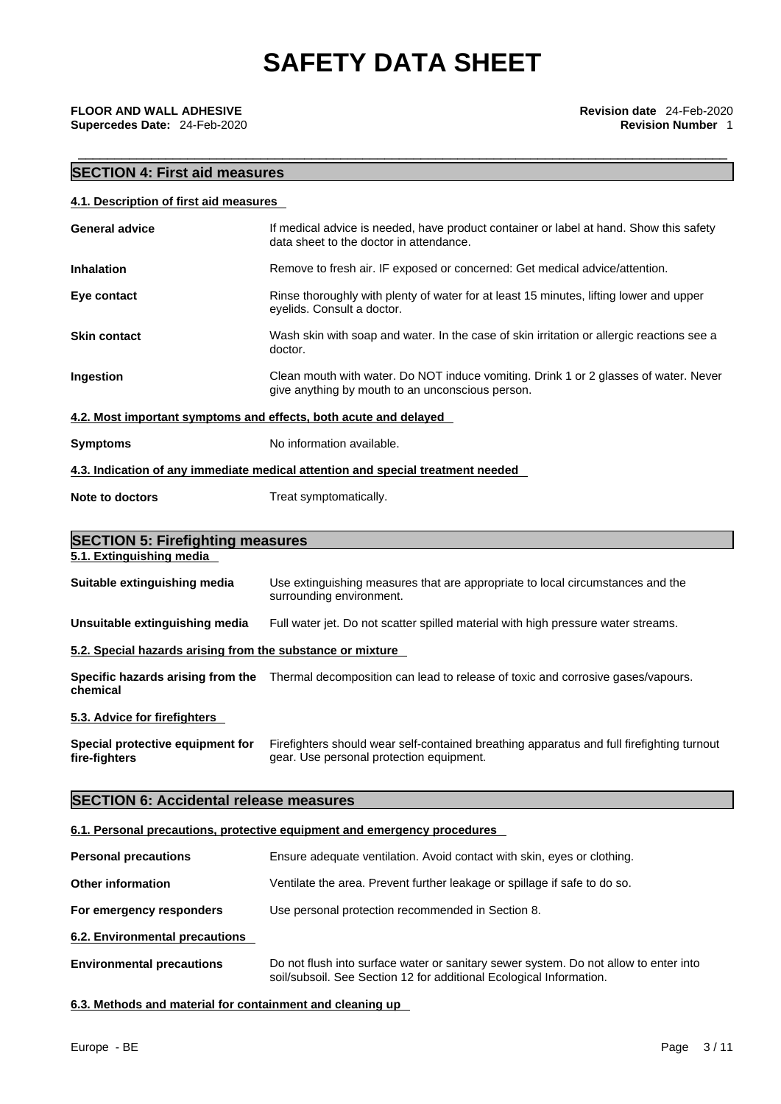\_\_\_\_\_\_\_\_\_\_\_\_\_\_\_\_\_\_\_\_\_\_\_\_\_\_\_\_\_\_\_\_\_\_\_\_\_\_\_\_\_\_\_\_\_\_\_\_\_\_\_\_\_\_\_\_\_\_\_\_\_\_\_\_\_\_\_\_\_\_\_\_\_\_\_\_\_\_\_\_\_\_\_\_\_\_\_\_\_ **FLOOR AND WALL ADHESIVE Revision date** 24-Feb-2020 **Supercedes Date:** 24-Feb-2020 **Revision Number** 1

# **SECTION 4: First aid measures**

| 4.1. Description of first aid measures                     |                                                                                                                                                             |
|------------------------------------------------------------|-------------------------------------------------------------------------------------------------------------------------------------------------------------|
| <b>General advice</b>                                      | If medical advice is needed, have product container or label at hand. Show this safety<br>data sheet to the doctor in attendance.                           |
| <b>Inhalation</b>                                          | Remove to fresh air. IF exposed or concerned: Get medical advice/attention.                                                                                 |
| Eye contact                                                | Rinse thoroughly with plenty of water for at least 15 minutes, lifting lower and upper<br>eyelids. Consult a doctor.                                        |
| <b>Skin contact</b>                                        | Wash skin with soap and water. In the case of skin irritation or allergic reactions see a<br>doctor.                                                        |
| Ingestion                                                  | Clean mouth with water. Do NOT induce vomiting. Drink 1 or 2 glasses of water. Never<br>give anything by mouth to an unconscious person.                    |
|                                                            | 4.2. Most important symptoms and effects, both acute and delayed                                                                                            |
| <b>Symptoms</b>                                            | No information available.                                                                                                                                   |
|                                                            | 4.3. Indication of any immediate medical attention and special treatment needed                                                                             |
| Note to doctors                                            | Treat symptomatically.                                                                                                                                      |
| <b>SECTION 5: Firefighting measures</b>                    |                                                                                                                                                             |
| 5.1. Extinguishing media                                   |                                                                                                                                                             |
| Suitable extinguishing media                               | Use extinguishing measures that are appropriate to local circumstances and the<br>surrounding environment.                                                  |
| Unsuitable extinguishing media                             | Full water jet. Do not scatter spilled material with high pressure water streams.                                                                           |
| 5.2. Special hazards arising from the substance or mixture |                                                                                                                                                             |
| chemical                                                   | Specific hazards arising from the Thermal decomposition can lead to release of toxic and corrosive gases/vapours.                                           |
| 5.3. Advice for firefighters                               |                                                                                                                                                             |
| Special protective equipment for<br>fire-fighters          | Firefighters should wear self-contained breathing apparatus and full firefighting turnout<br>gear. Use personal protection equipment.                       |
| <b>SECTION 6: Accidental release measures</b>              |                                                                                                                                                             |
|                                                            | 6.1. Personal precautions, protective equipment and emergency procedures                                                                                    |
| <b>Personal precautions</b>                                | Ensure adequate ventilation. Avoid contact with skin, eyes or clothing.                                                                                     |
| <b>Other information</b>                                   | Ventilate the area. Prevent further leakage or spillage if safe to do so.                                                                                   |
| For emergency responders                                   | Use personal protection recommended in Section 8.                                                                                                           |
| 6.2. Environmental precautions                             |                                                                                                                                                             |
| <b>Environmental precautions</b>                           | Do not flush into surface water or sanitary sewer system. Do not allow to enter into<br>soil/subsoil. See Section 12 for additional Ecological Information. |

**6.3. Methods and material for containment and cleaning up**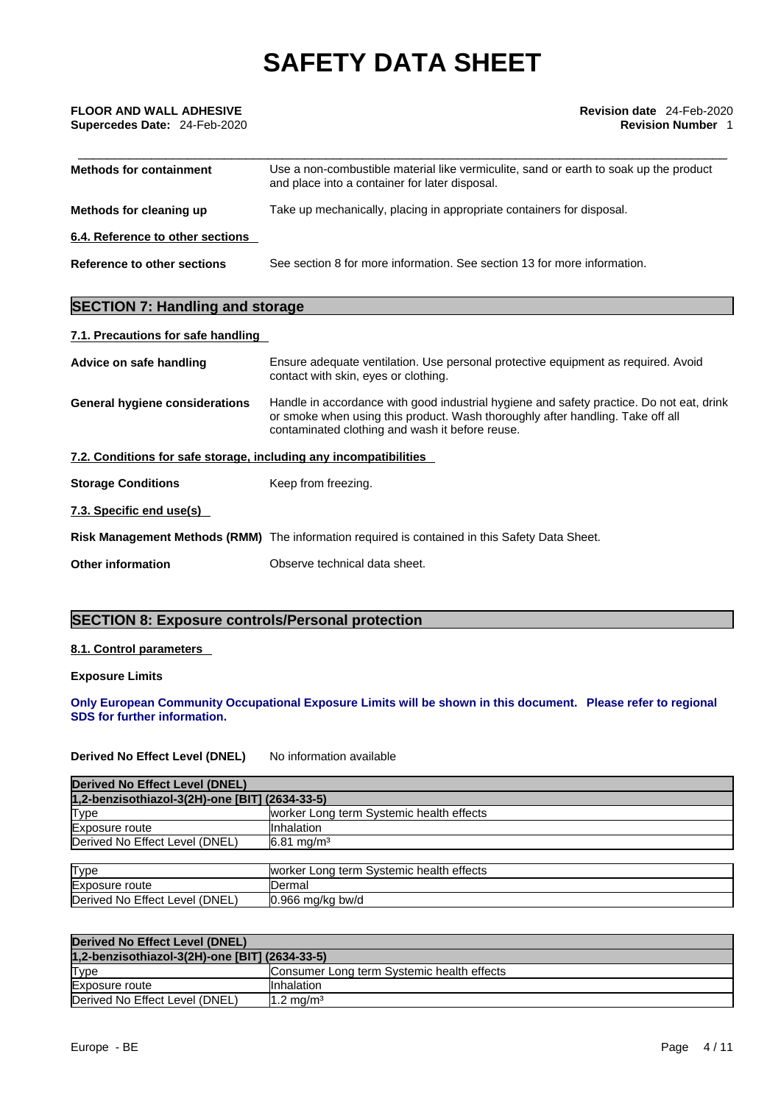| <b>FLOOR AND WALL ADHESIVE</b><br>Supercedes Date: 24-Feb-2020 | <b>Revision date</b> 24-Feb-2020<br><b>Revision Number 1</b>                                                                                                                                                                  |  |
|----------------------------------------------------------------|-------------------------------------------------------------------------------------------------------------------------------------------------------------------------------------------------------------------------------|--|
| <b>Methods for containment</b>                                 | Use a non-combustible material like vermiculite, sand or earth to soak up the product<br>and place into a container for later disposal.                                                                                       |  |
| Methods for cleaning up                                        | Take up mechanically, placing in appropriate containers for disposal.                                                                                                                                                         |  |
| 6.4. Reference to other sections                               |                                                                                                                                                                                                                               |  |
| Reference to other sections                                    | See section 8 for more information. See section 13 for more information.                                                                                                                                                      |  |
| <b>SECTION 7: Handling and storage</b>                         |                                                                                                                                                                                                                               |  |
| 7.1. Precautions for safe handling                             |                                                                                                                                                                                                                               |  |
| Advice on safe handling                                        | Ensure adequate ventilation. Use personal protective equipment as required. Avoid<br>contact with skin, eyes or clothing.                                                                                                     |  |
| General hygiene considerations                                 | Handle in accordance with good industrial hygiene and safety practice. Do not eat, drink<br>or smoke when using this product. Wash thoroughly after handling. Take off all<br>contaminated clothing and wash it before reuse. |  |

# **7.2. Conditions for safe storage, including any incompatibilities**

| <b>Storage Conditions</b> | Keep from freezing. |
|---------------------------|---------------------|
|---------------------------|---------------------|

**7.3. Specific end use(s)** 

**Risk Management Methods (RMM)** The information required is contained in this Safety Data Sheet.

**Other information Observe technical data sheet.** 

# **SECTION 8: Exposure controls/Personal protection**

## **8.1. Control parameters**

**Exposure Limits**

**Only European Community Occupational Exposure Limits will be shown in this document. Please refer to regional SDS for further information.** 

**Derived No Effect Level (DNEL)** No information available

| Derived No Effect Level (DNEL)                 |                                           |
|------------------------------------------------|-------------------------------------------|
| 1,2-benzisothiazol-3(2H)-one [BIT] (2634-33-5) |                                           |
| <b>Type</b>                                    | worker Long term Systemic health effects  |
| Exposure route                                 | <b>I</b> Inhalation                       |
| Derived No Effect Level (DNEL)                 | $6.81 \text{ ma/m}^3$                     |
|                                                |                                           |
| Tyne                                           | Iworker Long term Systemic health effects |

| Type                                | worker Long term Systemic health effects |
|-------------------------------------|------------------------------------------|
| Exposure route                      | ⊃ermal                                   |
| : Level (DNEL)<br>Derived No Effect | 10.966 ma/ka bw/d                        |

| Derived No Effect Level (DNEL)                 |                                            |  |  |
|------------------------------------------------|--------------------------------------------|--|--|
| 1,2-benzisothiazol-3(2H)-one [BIT] (2634-33-5) |                                            |  |  |
| Type                                           | Consumer Long term Systemic health effects |  |  |
| Exposure route                                 | <b>Inhalation</b>                          |  |  |
| Derived No Effect Level (DNEL)                 | $1.2 \text{ mg/m}^3$                       |  |  |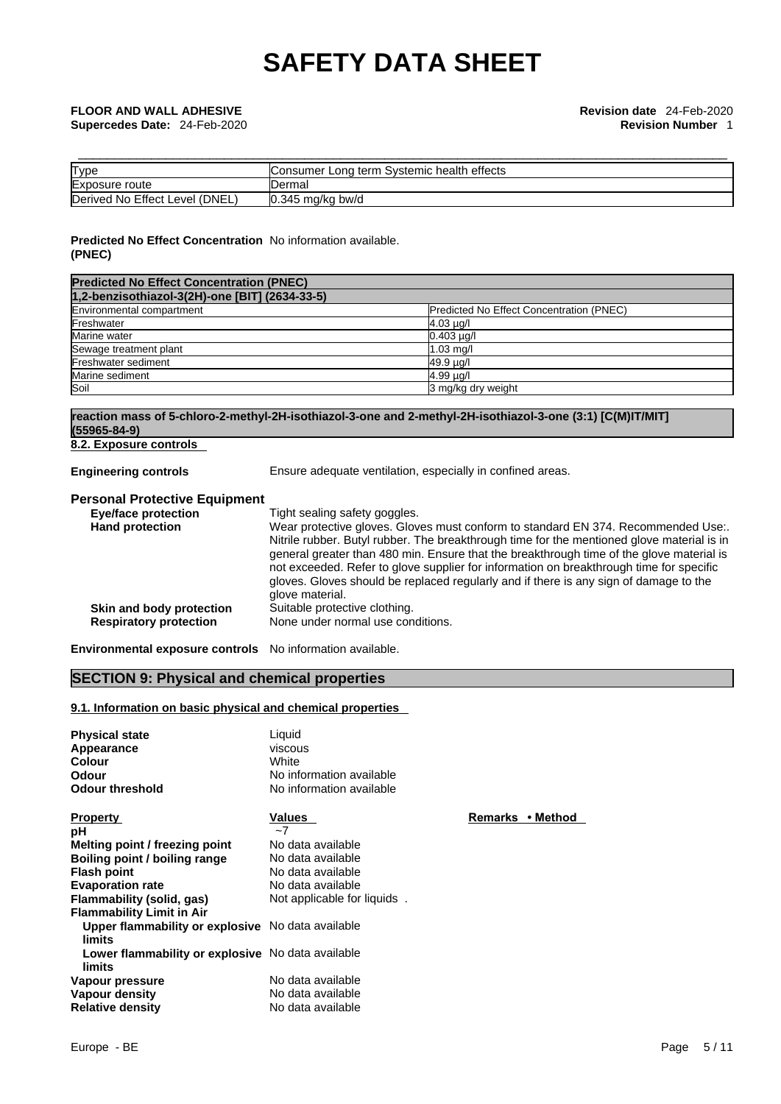| Type                           | <b>IConsumer Long term Systemic health effects</b> |
|--------------------------------|----------------------------------------------------|
| Exposure route                 | Dermal                                             |
| Derived No Effect Level (DNEL) | $0.345$ mg/kg bw/d                                 |

# **Predicted No Effect Concentration** No information available. **(PNEC)**

| <b>Predicted No Effect Concentration (PNEC)</b> |                                          |  |  |
|-------------------------------------------------|------------------------------------------|--|--|
| 1,2-benzisothiazol-3(2H)-one [BIT] (2634-33-5)  |                                          |  |  |
| Environmental compartment                       | Predicted No Effect Concentration (PNEC) |  |  |
| Freshwater                                      | $4.03 \mu g/l$                           |  |  |
| Marine water                                    | $0.403 \mu q/l$                          |  |  |
| Sewage treatment plant                          | $1.03$ mg/                               |  |  |
| Freshwater sediment                             | 49.9 ug/l                                |  |  |
| Marine sediment                                 | $4.99 \mu q$                             |  |  |
| Soil                                            | 3 mg/kg dry weight                       |  |  |

# **reaction mass of 5-chloro-2-methyl-2H-isothiazol-3-one and 2-methyl-2H-isothiazol-3-one (3:1) [C(M)IT/MIT] (55965-84-9)**

**8.2. Exposure controls** 

**Engineering controls** Ensure adequate ventilation, especially in confined areas.

# **Personal Protective Equipment**

| <b>Eye/face protection</b>    | Tight sealing safety goggles.                                                              |
|-------------------------------|--------------------------------------------------------------------------------------------|
| <b>Hand protection</b>        | Wear protective gloves. Gloves must conform to standard EN 374. Recommended Use:.          |
|                               | Nitrile rubber. Butyl rubber. The breakthrough time for the mentioned glove material is in |
|                               | general greater than 480 min. Ensure that the breakthrough time of the glove material is   |
|                               | not exceeded. Refer to glove supplier for information on breakthrough time for specific    |
|                               | gloves. Gloves should be replaced regularly and if there is any sign of damage to the      |
|                               | glove material.                                                                            |
| Skin and body protection      | Suitable protective clothing.                                                              |
| <b>Respiratory protection</b> | None under normal use conditions.                                                          |
|                               |                                                                                            |

**Remarks • Method** 

**Environmental exposure controls** No information available.

# **SECTION 9: Physical and chemical properties**

# **9.1. Information on basic physical and chemical properties**

| <b>Physical state</b><br>Appearance<br><b>Colour</b><br>Odour   | Liquid<br>viscous<br>White<br>No information available |   |
|-----------------------------------------------------------------|--------------------------------------------------------|---|
| <b>Odour threshold</b>                                          | No information available                               |   |
| <b>Property</b><br>рH                                           | Values<br>$-7$                                         | E |
| Melting point / freezing point<br>Boiling point / boiling range | No data available<br>No data available                 |   |
| <b>Flash point</b>                                              | No data available                                      |   |
| <b>Evaporation rate</b><br>Flammability (solid, gas)            | No data available<br>Not applicable for liquids.       |   |
| <b>Flammability Limit in Air</b>                                |                                                        |   |
| Upper flammability or explosive No data available<br>limits     |                                                        |   |
| Lower flammability or explosive No data available<br>limits     |                                                        |   |
| Vapour pressure<br>Vapour density                               | No data available<br>No data available                 |   |
| <b>Relative density</b>                                         | No data available                                      |   |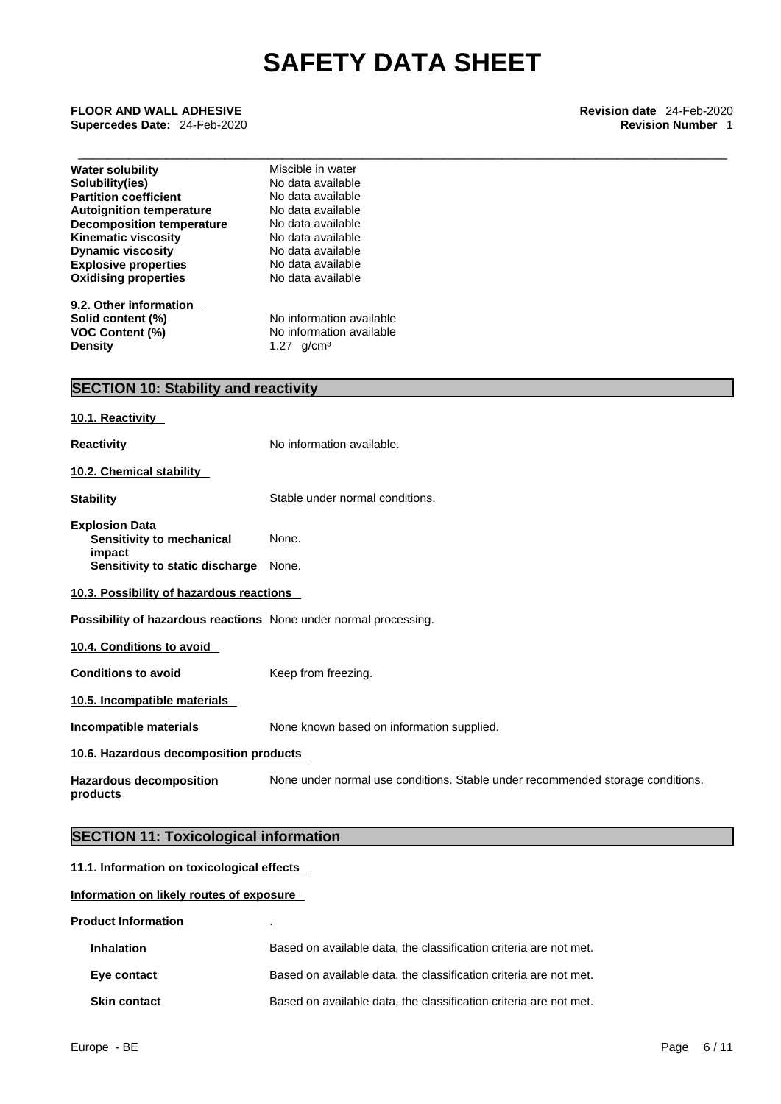\_\_\_\_\_\_\_\_\_\_\_\_\_\_\_\_\_\_\_\_\_\_\_\_\_\_\_\_\_\_\_\_\_\_\_\_\_\_\_\_\_\_\_\_\_\_\_\_\_\_\_\_\_\_\_\_\_\_\_\_\_\_\_\_\_\_\_\_\_\_\_\_\_\_\_\_\_\_\_\_\_\_\_\_\_\_\_\_\_ **FLOOR AND WALL ADHESIVE Revision date** 24-Feb-2020 **Supercedes Date: 24-Feb-2020** 

| <b>Water solubility</b>                                          | Miscible in water                                                              |  |  |  |
|------------------------------------------------------------------|--------------------------------------------------------------------------------|--|--|--|
| Solubility(ies)                                                  | No data available                                                              |  |  |  |
| <b>Partition coefficient</b>                                     | No data available                                                              |  |  |  |
| <b>Autoignition temperature</b>                                  | No data available<br>No data available                                         |  |  |  |
| <b>Decomposition temperature</b><br><b>Kinematic viscosity</b>   |                                                                                |  |  |  |
| <b>Dynamic viscosity</b>                                         | No data available<br>No data available<br>No data available                    |  |  |  |
| <b>Explosive properties</b>                                      |                                                                                |  |  |  |
| <b>Oxidising properties</b>                                      | No data available                                                              |  |  |  |
|                                                                  |                                                                                |  |  |  |
| 9.2. Other information                                           |                                                                                |  |  |  |
| Solid content (%)                                                | No information available                                                       |  |  |  |
| <b>VOC Content (%)</b>                                           | No information available<br>1.27 $g/cm^{3}$                                    |  |  |  |
| <b>Density</b>                                                   |                                                                                |  |  |  |
| <b>SECTION 10: Stability and reactivity</b>                      |                                                                                |  |  |  |
|                                                                  |                                                                                |  |  |  |
| 10.1. Reactivity                                                 |                                                                                |  |  |  |
| <b>Reactivity</b>                                                | No information available.                                                      |  |  |  |
| 10.2. Chemical stability                                         |                                                                                |  |  |  |
| <b>Stability</b>                                                 | Stable under normal conditions.                                                |  |  |  |
| <b>Explosion Data</b>                                            |                                                                                |  |  |  |
| Sensitivity to mechanical                                        | None.                                                                          |  |  |  |
| impact<br>Sensitivity to static discharge None.                  |                                                                                |  |  |  |
| 10.3. Possibility of hazardous reactions                         |                                                                                |  |  |  |
| Possibility of hazardous reactions None under normal processing. |                                                                                |  |  |  |
| 10.4. Conditions to avoid                                        |                                                                                |  |  |  |
| <b>Conditions to avoid</b>                                       | Keep from freezing.                                                            |  |  |  |
| 10.5. Incompatible materials                                     |                                                                                |  |  |  |
| Incompatible materials                                           | None known based on information supplied.                                      |  |  |  |
| 10.6. Hazardous decomposition products                           |                                                                                |  |  |  |
| <b>Hazardous decomposition</b><br>products                       | None under normal use conditions. Stable under recommended storage conditions. |  |  |  |
| <b>SECTION 11: Toxicological information</b>                     |                                                                                |  |  |  |
| 11.1. Information on toxicological effects                       |                                                                                |  |  |  |
| Information on likely routes of exposure                         |                                                                                |  |  |  |

**Product Information** .

| <b>Inhalation</b>   | Based on available data, the classification criteria are not met. |
|---------------------|-------------------------------------------------------------------|
| Eye contact         | Based on available data, the classification criteria are not met. |
| <b>Skin contact</b> | Based on available data, the classification criteria are not met. |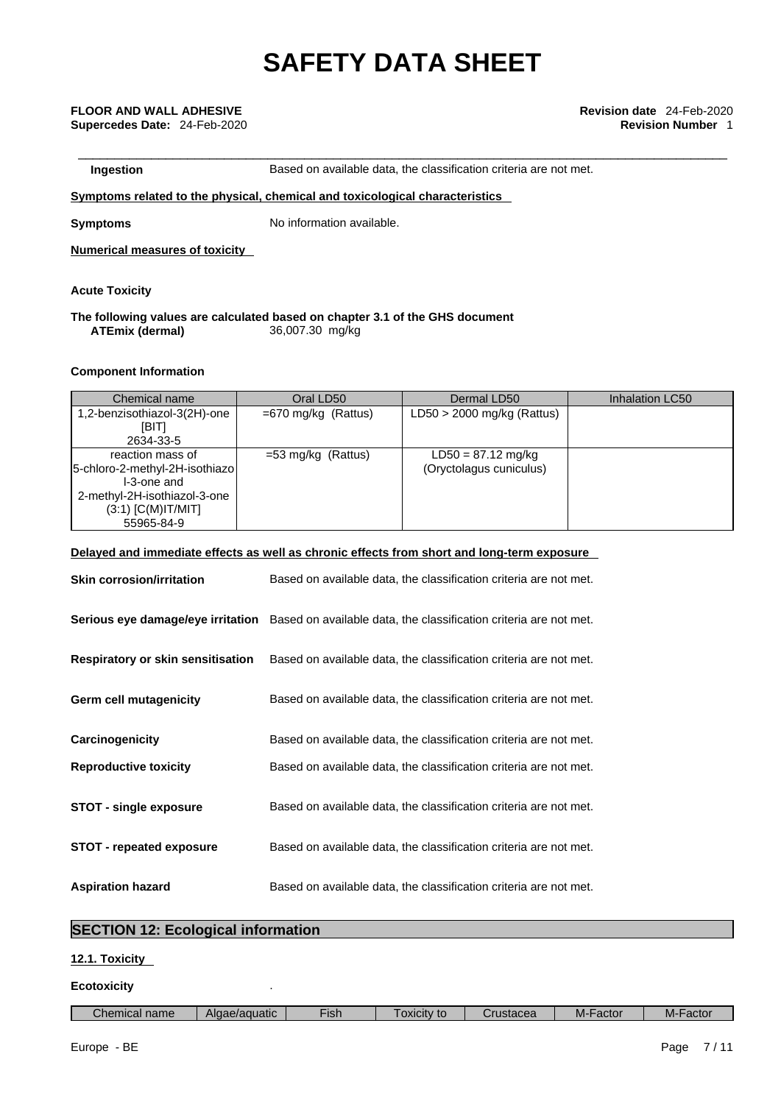**Ingestion Based on available data, the classification criteria are not met.** 

# **<u>Symptoms related to the physical, chemical and toxicological characteristics</u>**

**Symptoms** No information available.

**Numerical measures of toxicity**

**Acute Toxicity** 

### **The following values are calculated based on chapter 3.1 of the GHS document ATEmix (dermal)**36,007.30 mg/kg

# **Component Information**

| Chemical name                  | Oral LD50             | Dermal LD50                  | Inhalation LC50 |
|--------------------------------|-----------------------|------------------------------|-----------------|
| 1,2-benzisothiazol-3(2H)-one   | $=670$ mg/kg (Rattus) | $LD50 > 2000$ mg/kg (Rattus) |                 |
| [BIT]                          |                       |                              |                 |
| 2634-33-5                      |                       |                              |                 |
| reaction mass of               | $=$ 53 mg/kg (Rattus) | $LD50 = 87.12$ mg/kg         |                 |
| 5-chloro-2-methyl-2H-isothiazo |                       | (Oryctolagus cuniculus)      |                 |
| I-3-one and                    |                       |                              |                 |
| 2-methyl-2H-isothiazol-3-one   |                       |                              |                 |
| $(3:1)$ [C(M)IT/MIT]           |                       |                              |                 |
| 55965-84-9                     |                       |                              |                 |

# **Delayed and immediate effects as well as chronic effects from short and long-term exposure**

| <b>Skin corrosion/irritation</b>         | Based on available data, the classification criteria are not met.                                   |
|------------------------------------------|-----------------------------------------------------------------------------------------------------|
|                                          | Serious eye damage/eye irritation Based on available data, the classification criteria are not met. |
| <b>Respiratory or skin sensitisation</b> | Based on available data, the classification criteria are not met.                                   |
| <b>Germ cell mutagenicity</b>            | Based on available data, the classification criteria are not met.                                   |
| Carcinogenicity                          | Based on available data, the classification criteria are not met.                                   |
| <b>Reproductive toxicity</b>             | Based on available data, the classification criteria are not met.                                   |
| <b>STOT - single exposure</b>            | Based on available data, the classification criteria are not met.                                   |
| <b>STOT - repeated exposure</b>          | Based on available data, the classification criteria are not met.                                   |
| <b>Aspiration hazard</b>                 | Based on available data, the classification criteria are not met.                                   |

# **SECTION 12: Ecological information**

# **12.1. Toxicity**

# **Ecotoxicity** .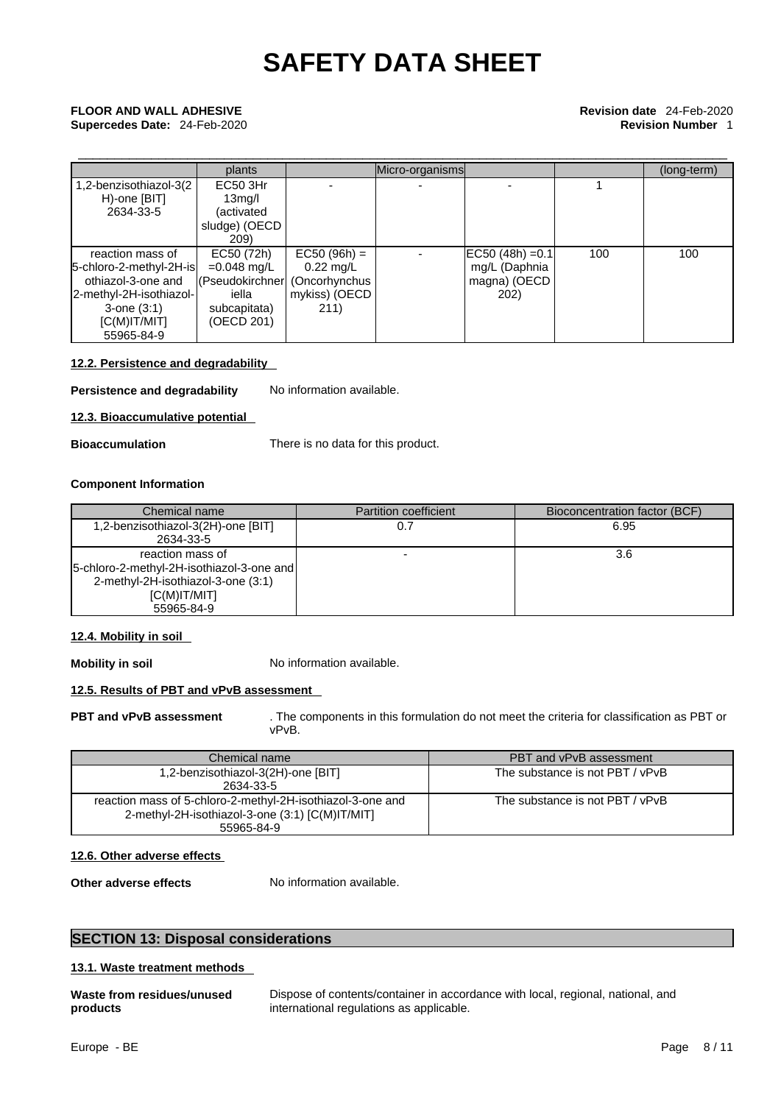# \_\_\_\_\_\_\_\_\_\_\_\_\_\_\_\_\_\_\_\_\_\_\_\_\_\_\_\_\_\_\_\_\_\_\_\_\_\_\_\_\_\_\_\_\_\_\_\_\_\_\_\_\_\_\_\_\_\_\_\_\_\_\_\_\_\_\_\_\_\_\_\_\_\_\_\_\_\_\_\_\_\_\_\_\_\_\_\_\_ **FLOOR AND WALL ADHESIVE Revision date** 24-Feb-2020 **Supercedes Date:** 24-Feb-2020 **Revision Number** 1

|                         | plants                        |                     | Micro-organisms |                      |     | (long-term) |
|-------------------------|-------------------------------|---------------------|-----------------|----------------------|-----|-------------|
| 1,2-benzisothiazol-3(2) | EC50 3Hr                      |                     |                 |                      |     |             |
| H)-one [BIT]            | 13 <sub>mq</sub> /l           |                     |                 |                      |     |             |
| 2634-33-5               | (activated                    |                     |                 |                      |     |             |
|                         | sludge) (OECD                 |                     |                 |                      |     |             |
|                         | 209)                          |                     |                 |                      |     |             |
| reaction mass of        | EC50 (72h)                    | $EC50 (96h) =$      |                 | $ EC50 (48h) = 0.1 $ | 100 | 100         |
| 5-chloro-2-methyl-2H-is | $=0.048$ mg/L                 | $0.22 \text{ mq/L}$ |                 | mg/L (Daphnia        |     |             |
| othiazol-3-one and      | (Pseudokirchner (Oncorhynchus |                     |                 | magna) (OECD         |     |             |
| 2-methyl-2H-isothiazol- | iella                         | mykiss) (OECD       |                 | <b>202</b> )         |     |             |
| $3$ -one $(3:1)$        | subcapitata)                  | 211)                |                 |                      |     |             |
| IC(M)IT/MIT             | (OECD 201)                    |                     |                 |                      |     |             |
| 55965-84-9              |                               |                     |                 |                      |     |             |

# **12.2. Persistence and degradability**

**Persistence and degradability** No information available.

**12.3. Bioaccumulative potential** 

**Bioaccumulation** There is no data for this product.

### **Component Information**

| Chemical name                                                                                                                     | <b>Partition coefficient</b> | Bioconcentration factor (BCF) |
|-----------------------------------------------------------------------------------------------------------------------------------|------------------------------|-------------------------------|
| 1,2-benzisothiazol-3(2H)-one [BIT]<br>2634-33-5                                                                                   |                              | 6.95                          |
| reaction mass of<br> 5-chloro-2-methyl-2H-isothiazol-3-one and<br>2-methyl-2H-isothiazol-3-one (3:1)<br>IC(M)IT/MIT<br>55965-84-9 |                              | 3.6                           |

## **12.4. Mobility in soil**

**Mobility in soil** No information available.

# **12.5. Results of PBT and vPvB assessment**

**PBT and vPvB assessment** . The components in this formulation do not meet the criteria for classification as PBT or vPvB.

| Chemical name                                              | PBT and vPvB assessment         |  |
|------------------------------------------------------------|---------------------------------|--|
| 1,2-benzisothiazol-3(2H)-one [BIT]                         | The substance is not PBT / vPvB |  |
| 2634-33-5                                                  |                                 |  |
| reaction mass of 5-chloro-2-methyl-2H-isothiazol-3-one and | The substance is not PBT / vPvB |  |
| 2-methyl-2H-isothiazol-3-one (3:1) [C(M)IT/MIT]            |                                 |  |
| 55965-84-9                                                 |                                 |  |

# **12.6. Other adverse effects**

**Other adverse effects** No information available.

# **SECTION 13: Disposal considerations**

# **13.1. Waste treatment methods**

|          | Waste from residues/unused |
|----------|----------------------------|
| products |                            |

**Waste from residues/unused** Dispose of contents/container in accordance with local, regional, national, and international regulations as applicable.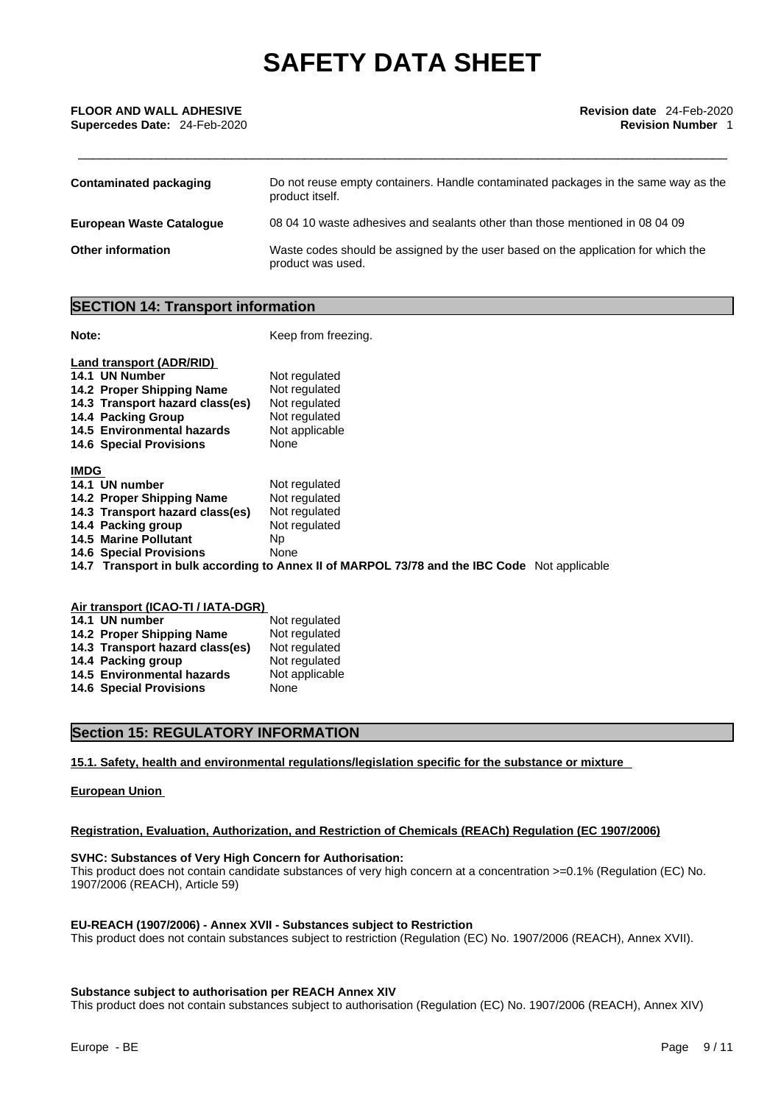| <b>FLOOR AND WALL ADHESIVE</b> | <b>Revision date</b> 24-Feb-2020 |
|--------------------------------|----------------------------------|
| Supercedes Date: 24-Feb-2020   | <b>Revision Number</b>           |
|                                |                                  |
|                                |                                  |

| <b>Contaminated packaging</b> | Do not reuse empty containers. Handle contaminated packages in the same way as the<br>product itself.  |
|-------------------------------|--------------------------------------------------------------------------------------------------------|
| European Waste Cataloque      | 08 04 10 waste adhesives and sealants other than those mentioned in 08 04 09                           |
| <b>Other information</b>      | Waste codes should be assigned by the user based on the application for which the<br>product was used. |

# **SECTION 14: Transport information**

**Note: Note: Keep from freezing.** 

| Land transport (ADR/RID)        |                                                                                              |
|---------------------------------|----------------------------------------------------------------------------------------------|
| 14.1 UN Number                  | Not regulated                                                                                |
| 14.2 Proper Shipping Name       | Not regulated                                                                                |
| 14.3 Transport hazard class(es) | Not regulated                                                                                |
| 14.4 Packing Group              | Not regulated                                                                                |
| 14.5 Environmental hazards      | Not applicable                                                                               |
| <b>14.6 Special Provisions</b>  | None                                                                                         |
|                                 |                                                                                              |
| <b>IMDG</b>                     |                                                                                              |
| 14.1 UN number                  | Not regulated                                                                                |
| 14.2 Proper Shipping Name       | Not regulated                                                                                |
| 14.3 Transport hazard class(es) | Not regulated                                                                                |
| 14.4 Packing group              | Not regulated                                                                                |
| <b>14.5 Marine Pollutant</b>    | Np.                                                                                          |
| <b>14.6 Special Provisions</b>  | None                                                                                         |
|                                 | 14.7 Transport in bulk according to Annex II of MARPOL 73/78 and the IBC Code Not applicable |
|                                 |                                                                                              |

| Air transport (ICAO-TI / IATA-DGR) |                                 |                |  |  |
|------------------------------------|---------------------------------|----------------|--|--|
|                                    | 14.1 UN number                  | Not regulated  |  |  |
|                                    | 14.2 Proper Shipping Name       | Not regulated  |  |  |
|                                    | 14.3 Transport hazard class(es) | Not regulated  |  |  |
|                                    | 14.4 Packing group              | Not regulated  |  |  |
|                                    | 14.5 Environmental hazards      | Not applicable |  |  |
|                                    | <b>14.6 Special Provisions</b>  | None           |  |  |

# **Section 15: REGULATORY INFORMATION**

### **15.1. Safety, health and environmental regulations/legislation specific for the substance or mixture**

### **European Union**

### **Registration, Evaluation, Authorization, and Restriction of Chemicals (REACh) Regulation (EC 1907/2006)**

# **SVHC: Substances of Very High Concern for Authorisation:**

This product does not contain candidate substances of very high concern at a concentration >=0.1% (Regulation (EC) No. 1907/2006 (REACH), Article 59)

### **EU-REACH (1907/2006) - Annex XVII - Substances subject to Restriction**

This product does not contain substances subject to restriction (Regulation (EC) No. 1907/2006 (REACH), Annex XVII).

### **Substance subject to authorisation per REACH Annex XIV**

This product does not contain substances subject to authorisation (Regulation (EC) No. 1907/2006 (REACH), Annex XIV)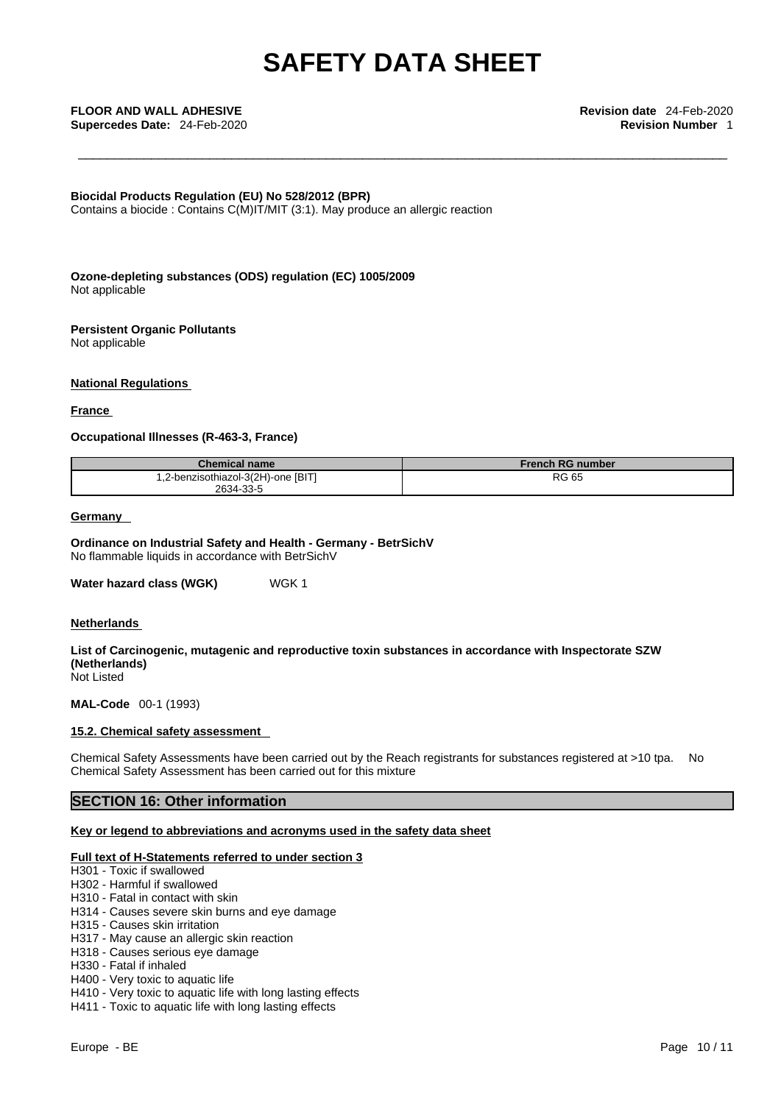**Supercedes Date:** 24-Feb-2020 **Revision Number** 1

\_\_\_\_\_\_\_\_\_\_\_\_\_\_\_\_\_\_\_\_\_\_\_\_\_\_\_\_\_\_\_\_\_\_\_\_\_\_\_\_\_\_\_\_\_\_\_\_\_\_\_\_\_\_\_\_\_\_\_\_\_\_\_\_\_\_\_\_\_\_\_\_\_\_\_\_\_\_\_\_\_\_\_\_\_\_\_\_\_ **FLOOR AND WALL ADHESIVE Revision date** 24-Feb-2020

**Biocidal Products Regulation (EU) No 528/2012 (BPR)**

Contains a biocide : Contains C(M)IT/MIT (3:1). May produce an allergic reaction

**Ozone-depleting substances (ODS) regulation (EC) 1005/2009** Not applicable

**Persistent Organic Pollutants** Not applicable

### **National Regulations**

### **France**

### **Occupational Illnesses (R-463-3, France)**

| <b>Chemical name</b>               | <b>French RG number</b> |
|------------------------------------|-------------------------|
| 1,2-benzisothiazol-3(2H)-one [BIT] | <b>RG 65</b>            |
| 2634-33-5                          |                         |

# **Germany**

**Ordinance on Industrial Safety and Health - Germany - BetrSichV** No flammable liquids in accordance with BetrSichV

**Water hazard class (WGK)** WGK 1

### **Netherlands**

**List of Carcinogenic, mutagenic and reproductive toxin substances in accordance with Inspectorate SZW (Netherlands)** Not Listed

**MAL-Code** 00-1 (1993)

### **15.2. Chemical safety assessment**

Chemical Safety Assessments have been carried out by the Reach registrants for substances registered at >10 tpa. No Chemical Safety Assessment has been carried out for this mixture

# **SECTION 16: Other information**

### **Key or legend to abbreviations and acronyms used in the safety data sheet**

### **Full text of H-Statements referred to under section 3**

- H301 Toxic if swallowed
- H302 Harmful if swallowed
- H310 Fatal in contact with skin
- H314 Causes severe skin burns and eye damage
- H315 Causes skin irritation
- H317 May cause an allergic skin reaction
- H318 Causes serious eye damage
- H330 Fatal if inhaled
- H400 Very toxic to aquatic life
- H410 Very toxic to aquatic life with long lasting effects
- H411 Toxic to aquatic life with long lasting effects